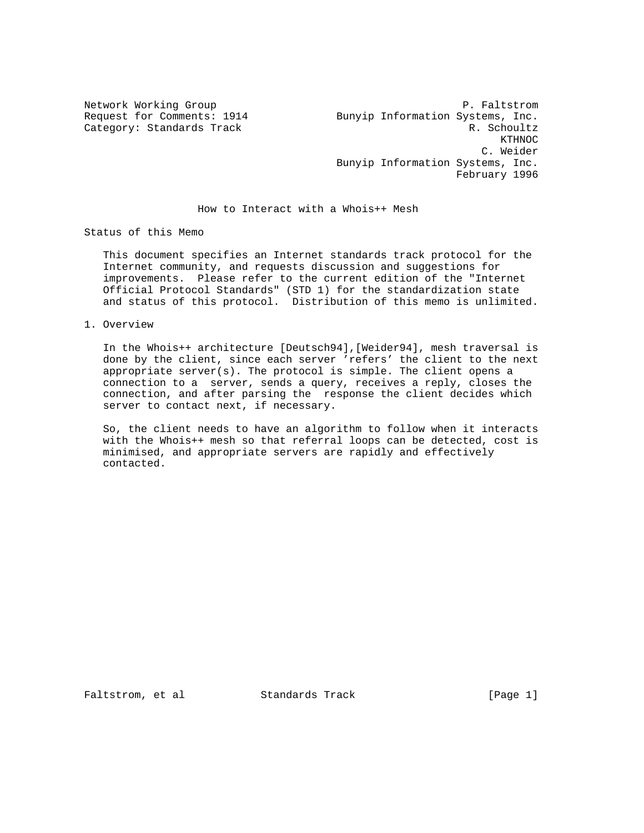Network Working Group<br>Request for Comments: 1914 Bunyip Information Systems, Inc. Bunyip Information Systems, Inc. Category: Standards Track R. Schoultz  $KTHNOC$  C. Weider Bunyip Information Systems, Inc. February 1996

How to Interact with a Whois++ Mesh

Status of this Memo

 This document specifies an Internet standards track protocol for the Internet community, and requests discussion and suggestions for improvements. Please refer to the current edition of the "Internet Official Protocol Standards" (STD 1) for the standardization state and status of this protocol. Distribution of this memo is unlimited.

1. Overview

 In the Whois++ architecture [Deutsch94],[Weider94], mesh traversal is done by the client, since each server 'refers' the client to the next appropriate server(s). The protocol is simple. The client opens a connection to a server, sends a query, receives a reply, closes the connection, and after parsing the response the client decides which server to contact next, if necessary.

 So, the client needs to have an algorithm to follow when it interacts with the Whois++ mesh so that referral loops can be detected, cost is minimised, and appropriate servers are rapidly and effectively contacted.

Faltstrom, et al Standards Track [Page 1]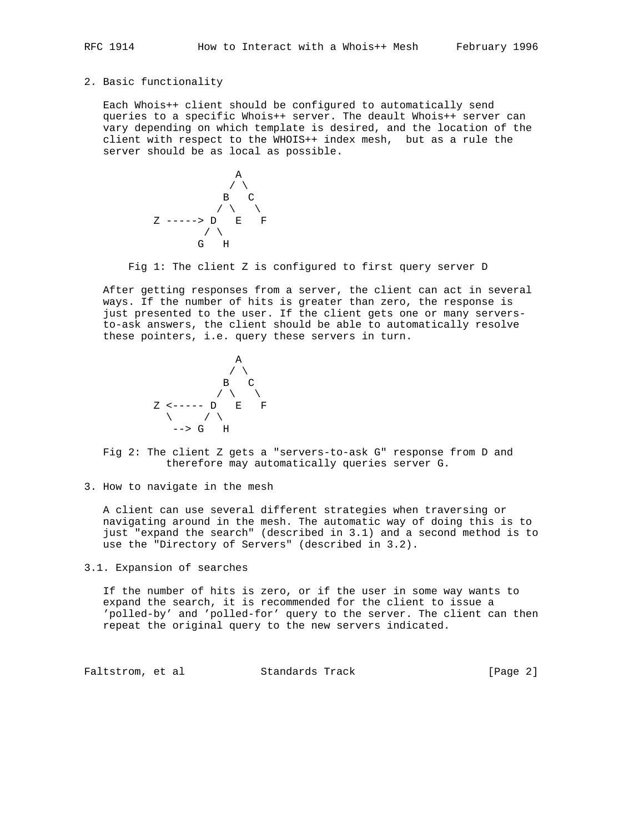## 2. Basic functionality

 Each Whois++ client should be configured to automatically send queries to a specific Whois++ server. The deault Whois++ server can vary depending on which template is desired, and the location of the client with respect to the WHOIS++ index mesh, but as a rule the server should be as local as possible.



Fig 1: The client Z is configured to first query server D

 After getting responses from a server, the client can act in several ways. If the number of hits is greater than zero, the response is just presented to the user. If the client gets one or many servers to-ask answers, the client should be able to automatically resolve these pointers, i.e. query these servers in turn.



 Fig 2: The client Z gets a "servers-to-ask G" response from D and therefore may automatically queries server G.

3. How to navigate in the mesh

 A client can use several different strategies when traversing or navigating around in the mesh. The automatic way of doing this is to just "expand the search" (described in 3.1) and a second method is to use the "Directory of Servers" (described in 3.2).

3.1. Expansion of searches

 If the number of hits is zero, or if the user in some way wants to expand the search, it is recommended for the client to issue a 'polled-by' and 'polled-for' query to the server. The client can then repeat the original query to the new servers indicated.

Faltstrom, et al Standards Track [Page 2]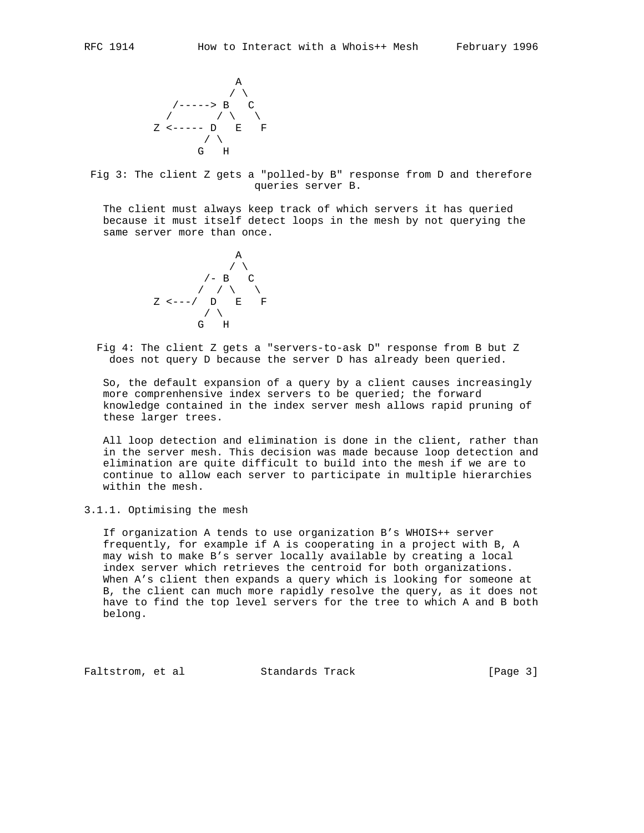

 Fig 3: The client Z gets a "polled-by B" response from D and therefore queries server B.

 The client must always keep track of which servers it has queried because it must itself detect loops in the mesh by not querying the same server more than once.



 Fig 4: The client Z gets a "servers-to-ask D" response from B but Z does not query D because the server D has already been queried.

 So, the default expansion of a query by a client causes increasingly more comprenhensive index servers to be queried; the forward knowledge contained in the index server mesh allows rapid pruning of these larger trees.

 All loop detection and elimination is done in the client, rather than in the server mesh. This decision was made because loop detection and elimination are quite difficult to build into the mesh if we are to continue to allow each server to participate in multiple hierarchies within the mesh.

3.1.1. Optimising the mesh

 If organization A tends to use organization B's WHOIS++ server frequently, for example if A is cooperating in a project with B, A may wish to make B's server locally available by creating a local index server which retrieves the centroid for both organizations. When A's client then expands a query which is looking for someone at B, the client can much more rapidly resolve the query, as it does not have to find the top level servers for the tree to which A and B both belong.

Faltstrom, et al Standards Track [Page 3]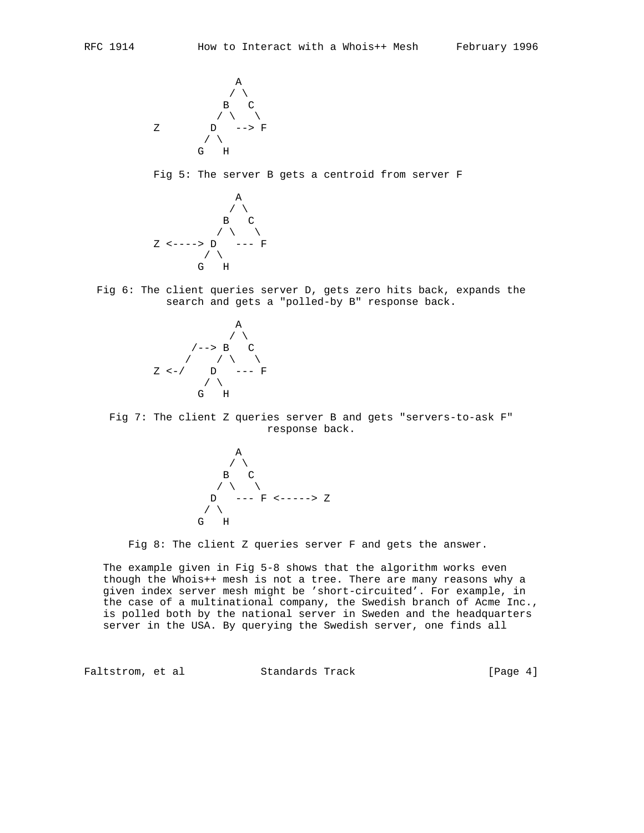

Fig 5: The server B gets a centroid from server F



 Fig 6: The client queries server D, gets zero hits back, expands the search and gets a "polled-by B" response back.



 Fig 7: The client Z queries server B and gets "servers-to-ask F" response back.



Fig 8: The client Z queries server F and gets the answer.

 The example given in Fig 5-8 shows that the algorithm works even though the Whois++ mesh is not a tree. There are many reasons why a given index server mesh might be 'short-circuited'. For example, in the case of a multinational company, the Swedish branch of Acme Inc., is polled both by the national server in Sweden and the headquarters server in the USA. By querying the Swedish server, one finds all

Faltstrom, et al Standards Track [Page 4]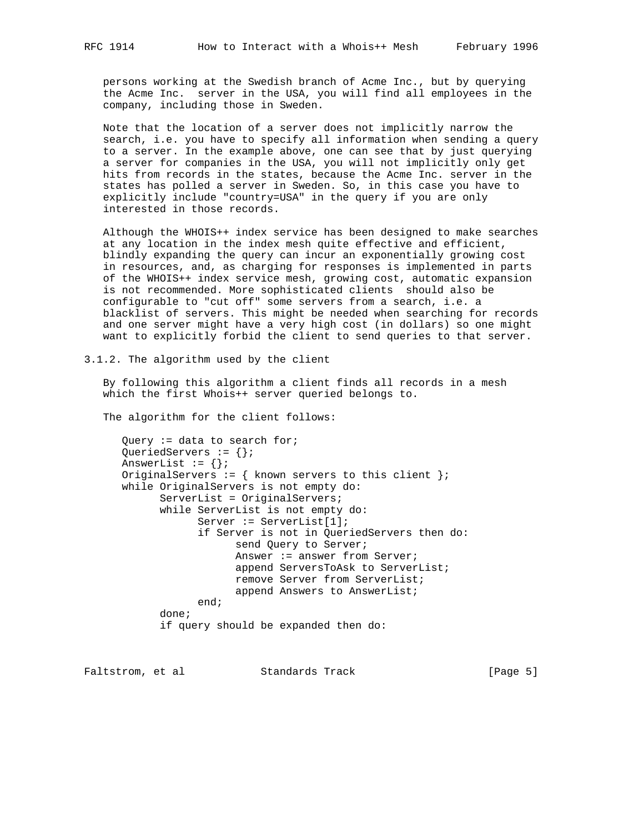persons working at the Swedish branch of Acme Inc., but by querying the Acme Inc. server in the USA, you will find all employees in the company, including those in Sweden.

 Note that the location of a server does not implicitly narrow the search, i.e. you have to specify all information when sending a query to a server. In the example above, one can see that by just querying a server for companies in the USA, you will not implicitly only get hits from records in the states, because the Acme Inc. server in the states has polled a server in Sweden. So, in this case you have to explicitly include "country=USA" in the query if you are only interested in those records.

 Although the WHOIS++ index service has been designed to make searches at any location in the index mesh quite effective and efficient, blindly expanding the query can incur an exponentially growing cost in resources, and, as charging for responses is implemented in parts of the WHOIS++ index service mesh, growing cost, automatic expansion is not recommended. More sophisticated clients should also be configurable to "cut off" some servers from a search, i.e. a blacklist of servers. This might be needed when searching for records and one server might have a very high cost (in dollars) so one might want to explicitly forbid the client to send queries to that server.

3.1.2. The algorithm used by the client

 By following this algorithm a client finds all records in a mesh which the first Whois++ server queried belongs to.

The algorithm for the client follows:

 Query := data to search for; QueriedServers :=  $\{\}\$ ; AnswerList :=  $\{\}\$ ; OriginalServers := { known servers to this client }; while OriginalServers is not empty do: ServerList = OriginalServers; while ServerList is not empty do: Server := ServerList[1]; if Server is not in QueriedServers then do: send Query to Server; Answer := answer from Server; append ServersToAsk to ServerList; remove Server from ServerList; append Answers to AnswerList; end; done; if query should be expanded then do:

Faltstrom, et al Standards Track [Page 5]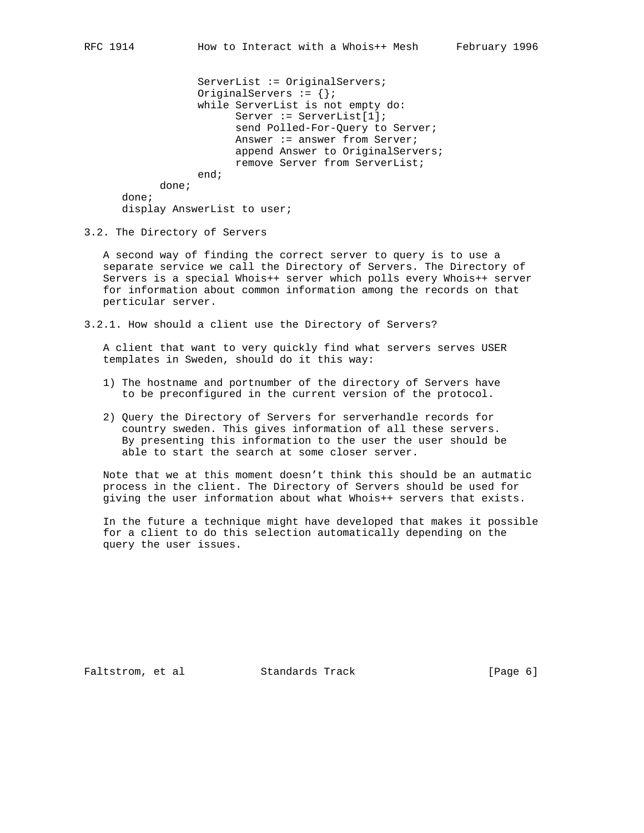ServerList := OriginalServers; OriginalServers :=  $\{\}\$ ; while ServerList is not empty do: Server := ServerList[1]; send Polled-For-Query to Server; Answer := answer from Server; append Answer to OriginalServers; remove Server from ServerList; end; done;

display AnswerList to user;

3.2. The Directory of Servers

done;

 A second way of finding the correct server to query is to use a separate service we call the Directory of Servers. The Directory of Servers is a special Whois++ server which polls every Whois++ server for information about common information among the records on that perticular server.

3.2.1. How should a client use the Directory of Servers?

 A client that want to very quickly find what servers serves USER templates in Sweden, should do it this way:

- 1) The hostname and portnumber of the directory of Servers have to be preconfigured in the current version of the protocol.
- 2) Query the Directory of Servers for serverhandle records for country sweden. This gives information of all these servers. By presenting this information to the user the user should be able to start the search at some closer server.

 Note that we at this moment doesn't think this should be an autmatic process in the client. The Directory of Servers should be used for giving the user information about what Whois++ servers that exists.

 In the future a technique might have developed that makes it possible for a client to do this selection automatically depending on the query the user issues.

Faltstrom, et al Standards Track [Page 6]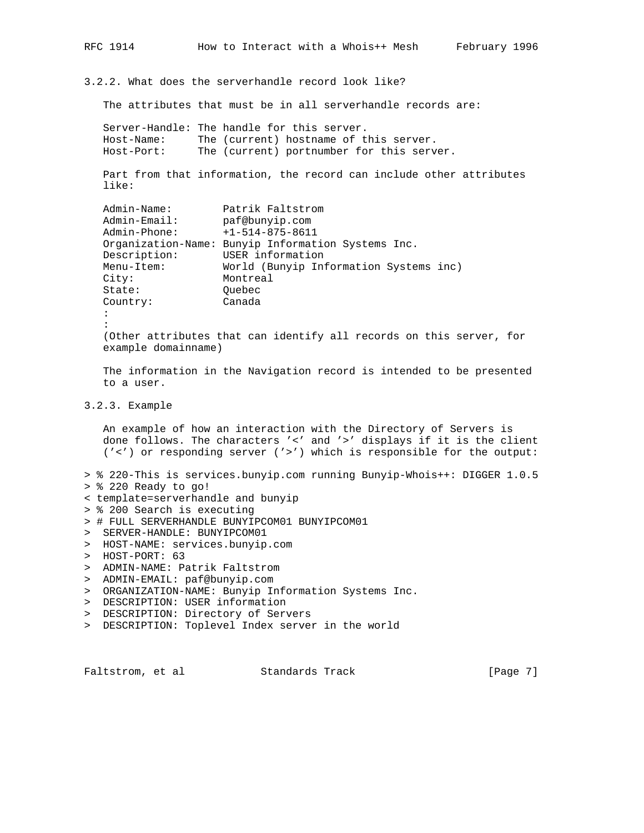3.2.2. What does the serverhandle record look like?

The attributes that must be in all serverhandle records are:

Server-Handle: The handle for this server.<br>Host-Name: The (current) hostname of t The (current) hostname of this server. Host-Port: The (current) portnumber for this server. Part from that information, the record can include other attributes like: Admin-Name: Patrik Faltstrom Admin-Email: paf@bunyip.com Admin-Phone: +1-514-875-8611 Organization-Name: Bunyip Information Systems Inc. Description: USER information Menu-Item: World (Bunyip Information Systems inc) City: Montreal State: Quebec Country: Canada : : (Other attributes that can identify all records on this server, for example domainname) The information in the Navigation record is intended to be presented to a user. 3.2.3. Example

 An example of how an interaction with the Directory of Servers is done follows. The characters '<' and '>' displays if it is the client ('<') or responding server ('>') which is responsible for the output:

- > % 220-This is services.bunyip.com running Bunyip-Whois++: DIGGER 1.0.5 > % 220 Ready to go!
- < template=serverhandle and bunyip
- > % 200 Search is executing
- > # FULL SERVERHANDLE BUNYIPCOM01 BUNYIPCOM01
- > SERVER-HANDLE: BUNYIPCOM01
- > HOST-NAME: services.bunyip.com
- > HOST-PORT: 63
- > ADMIN-NAME: Patrik Faltstrom
- > ADMIN-EMAIL: paf@bunyip.com
- > ORGANIZATION-NAME: Bunyip Information Systems Inc.
- > DESCRIPTION: USER information
- > DESCRIPTION: Directory of Servers
- > DESCRIPTION: Toplevel Index server in the world

Faltstrom, et al Standards Track [Page 7]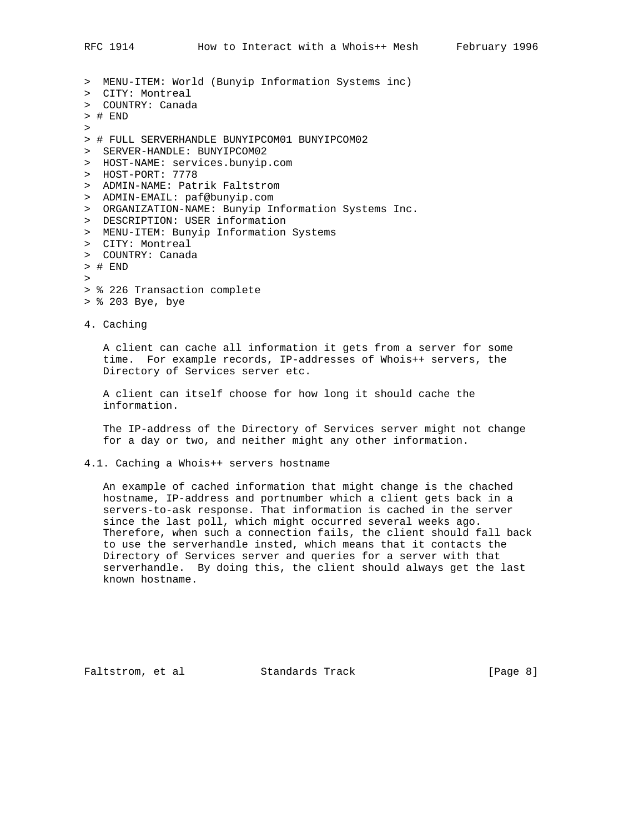> MENU-ITEM: World (Bunyip Information Systems inc) > CITY: Montreal > COUNTRY: Canada > # END > > # FULL SERVERHANDLE BUNYIPCOM01 BUNYIPCOM02 > SERVER-HANDLE: BUNYIPCOM02 > HOST-NAME: services.bunyip.com > HOST-PORT: 7778 > ADMIN-NAME: Patrik Faltstrom > ADMIN-EMAIL: paf@bunyip.com > ORGANIZATION-NAME: Bunyip Information Systems Inc. > DESCRIPTION: USER information > MENU-ITEM: Bunyip Information Systems > CITY: Montreal > COUNTRY: Canada > # END > > % 226 Transaction complete

> % 203 Bye, bye

4. Caching

 A client can cache all information it gets from a server for some time. For example records, IP-addresses of Whois++ servers, the Directory of Services server etc.

 A client can itself choose for how long it should cache the information.

 The IP-address of the Directory of Services server might not change for a day or two, and neither might any other information.

4.1. Caching a Whois++ servers hostname

 An example of cached information that might change is the chached hostname, IP-address and portnumber which a client gets back in a servers-to-ask response. That information is cached in the server since the last poll, which might occurred several weeks ago. Therefore, when such a connection fails, the client should fall back to use the serverhandle insted, which means that it contacts the Directory of Services server and queries for a server with that serverhandle. By doing this, the client should always get the last known hostname.

Faltstrom, et al Standards Track [Page 8]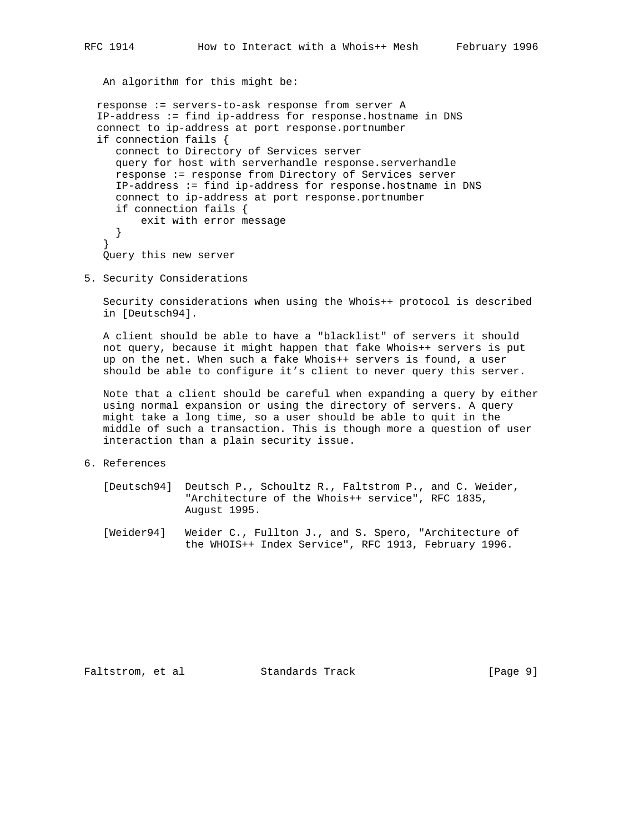An algorithm for this might be:

```
 response := servers-to-ask response from server A
IP-address := find ip-address for response.hostname in DNS
connect to ip-address at port response.portnumber
if connection fails {
  connect to Directory of Services server
  query for host with serverhandle response.serverhandle
  response := response from Directory of Services server
  IP-address := find ip-address for response.hostname in DNS
  connect to ip-address at port response.portnumber
  if connection fails {
       exit with error message
  }
 }
 Query this new server
```
5. Security Considerations

 Security considerations when using the Whois++ protocol is described in [Deutsch94].

 A client should be able to have a "blacklist" of servers it should not query, because it might happen that fake Whois++ servers is put up on the net. When such a fake Whois++ servers is found, a user should be able to configure it's client to never query this server.

 Note that a client should be careful when expanding a query by either using normal expansion or using the directory of servers. A query might take a long time, so a user should be able to quit in the middle of such a transaction. This is though more a question of user interaction than a plain security issue.

- 6. References
	- [Deutsch94] Deutsch P., Schoultz R., Faltstrom P., and C. Weider, "Architecture of the Whois++ service", RFC 1835, August 1995.
	- [Weider94] Weider C., Fullton J., and S. Spero, "Architecture of the WHOIS++ Index Service", RFC 1913, February 1996.

Faltstrom, et al Standards Track [Page 9]